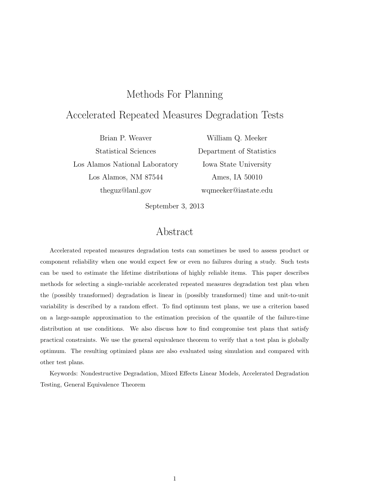# Methods For Planning

# Accelerated Repeated Measures Degradation Tests

Brian P. Weaver Statistical Sciences Los Alamos National Laboratory Los Alamos, NM 87544 theguz@lanl.gov

William Q. Meeker Department of Statistics Iowa State University Ames, IA 50010 wqmeeker@iastate.edu

September 3, 2013

# Abstract

Accelerated repeated measures degradation tests can sometimes be used to assess product or component reliability when one would expect few or even no failures during a study. Such tests can be used to estimate the lifetime distributions of highly reliable items. This paper describes methods for selecting a single-variable accelerated repeated measures degradation test plan when the (possibly transformed) degradation is linear in (possibly transformed) time and unit-to-unit variability is described by a random effect. To find optimum test plans, we use a criterion based on a large-sample approximation to the estimation precision of the quantile of the failure-time distribution at use conditions. We also discuss how to find compromise test plans that satisfy practical constraints. We use the general equivalence theorem to verify that a test plan is globally optimum. The resulting optimized plans are also evaluated using simulation and compared with other test plans.

Keywords: Nondestructive Degradation, Mixed Effects Linear Models, Accelerated Degradation Testing, General Equivalence Theorem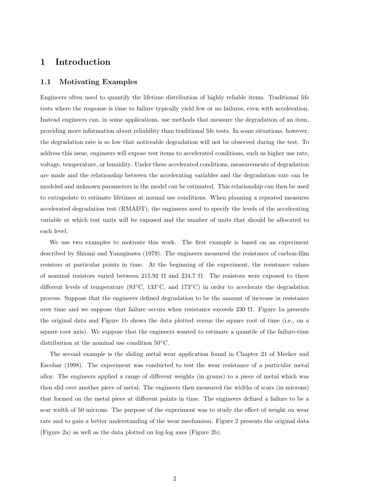## 1 Introduction

#### 1.1 Motivating Examples

Engineers often need to quantify the lifetime distribution of highly reliable items. Traditional life tests where the response is time to failure typically yield few or no failures, even with acceleration. Instead engineers can, in some applications, use methods that measure the degradation of an item, providing more information about reliability than traditional life tests. In some situations, however, the degradation rate is so low that noticeable degradation will not be observed during the test. To address this issue, engineers will expose test items to accelerated conditions, such as higher use rate, voltage, temperature, or humidity. Under these accelerated conditions, measurements of degradation are made and the relationship between the accelerating variables and the degradation rate can be modeled and unknown parameters in the model can be estimated. This relationship can then be used to extrapolate to estimate lifetimes at normal use conditions. When planning a repeated measures accelerated degradation test (RMADT), the engineers need to specify the levels of the accelerating variable at which test units will be exposed and the number of units that should be allocated to each level.

We use two examples to motivate this work. The first example is based on an experiment described by Shiomi and Yanagisawa (1979). The engineers measured the resistance of carbon-film resistors at particular points in time. At the beginning of the experiment, the resistance values of nominal resistors varied between 215.92  $\Omega$  and 224.7  $\Omega$ . The resistors were exposed to three different levels of temperature (83◦C, 133◦C, and 173◦C) in order to accelerate the degradation process. Suppose that the engineers defined degradation to be the amount of increase in resistance over time and we suppose that failure occurs when resistance exceeds 230  $\Omega$ . Figure 1a presents the original data and Figure 1b shows the data plotted versus the square root of time (i.e., on a square root axis). We suppose that the engineers wanted to estimate a quantile of the failure-time distribution at the nominal use condition 50◦C.

The second example is the sliding metal wear application found in Chapter 21 of Meeker and Escobar (1998). The experiment was conducted to test the wear resistance of a particular metal alloy. The engineers applied a range of different weights (in grams) to a piece of metal which was then slid over another piece of metal. The engineers then measured the widths of scars (in microns) that formed on the metal piece at different points in time. The engineers defined a failure to be a scar width of 50 microns. The purpose of the experiment was to study the effect of weight on wear rate and to gain a better understanding of the wear mechanism. Figure 2 presents the original data (Figure 2a) as well as the data plotted on log-log axes (Figure 2b).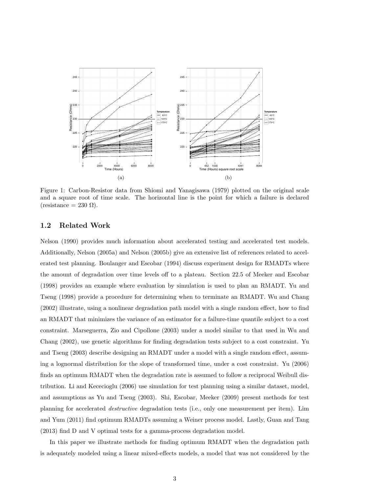

Figure 1: Carbon-Resistor data from Shiomi and Yanagisawa (1979) plotted on the original scale and a square root of time scale. The horizontal line is the point for which a failure is declared  $(resistance = 230 \Omega).$ 

## 1.2 Related Work

Nelson (1990) provides much information about accelerated testing and accelerated test models. Additionally, Nelson (2005a) and Nelson (2005b) give an extensive list of references related to accelerated test planning. Boulanger and Escobar (1994) discuss experiment design for RMADTs where the amount of degradation over time levels off to a plateau. Section 22.5 of Meeker and Escobar (1998) provides an example where evaluation by simulation is used to plan an RMADT. Yu and Tseng (1998) provide a procedure for determining when to terminate an RMADT. Wu and Chang (2002) illustrate, using a nonlinear degradation path model with a single random effect, how to find an RMADT that minimizes the variance of an estimator for a failure-time quantile subject to a cost constraint. Marseguerra, Zio and Cipollone (2003) under a model similar to that used in Wu and Chang (2002), use genetic algorithms for finding degradation tests subject to a cost constraint. Yu and Tseng (2003) describe designing an RMADT under a model with a single random effect, assuming a lognormal distribution for the slope of transformed time, under a cost constraint. Yu (2006) finds an optimum RMADT when the degradation rate is assumed to follow a reciprocal Weibull distribution. Li and Kececioglu (2006) use simulation for test planning using a similar dataset, model, and assumptions as Yu and Tseng (2003). Shi, Escobar, Meeker (2009) present methods for test planning for accelerated destructive degradation tests (i.e., only one measurement per item). Lim and Yum (2011) find optimum RMADTs assuming a Weiner process model. Lastly, Guan and Tang (2013) find D and V optimal tests for a gamma-process degradation model.

In this paper we illustrate methods for finding optimum RMADT when the degradation path is adequately modeled using a linear mixed-effects models, a model that was not considered by the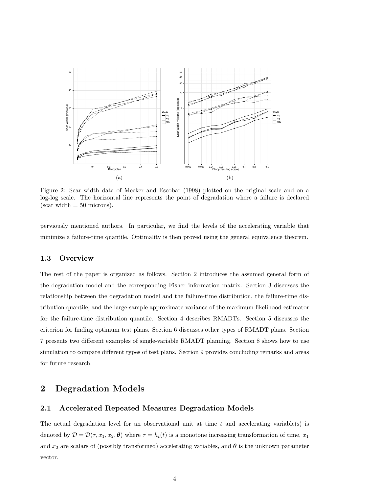

Figure 2: Scar width data of Meeker and Escobar (1998) plotted on the original scale and on a log-log scale. The horizontal line represents the point of degradation where a failure is declared (scar width  $= 50$  microns).

perviously mentioned authors. In particular, we find the levels of the accelerating variable that minimize a failure-time quantile. Optimality is then proved using the general equivalence theorem.

#### 1.3 Overview

The rest of the paper is organized as follows. Section 2 introduces the assumed general form of the degradation model and the corresponding Fisher information matrix. Section 3 discusses the relationship between the degradation model and the failure-time distribution, the failure-time distribution quantile, and the large-sample approximate variance of the maximum likelihood estimator for the failure-time distribution quantile. Section 4 describes RMADTs. Section 5 discusses the criterion for finding optimum test plans. Section 6 discusses other types of RMADT plans. Section 7 presents two different examples of single-variable RMADT planning. Section 8 shows how to use simulation to compare different types of test plans. Section 9 provides concluding remarks and areas for future research.

## 2 Degradation Models

## 2.1 Accelerated Repeated Measures Degradation Models

The actual degradation level for an observational unit at time  $t$  and accelerating variable(s) is denoted by  $\mathcal{D} = \mathcal{D}(\tau, x_1, x_2, \theta)$  where  $\tau = h_t(t)$  is a monotone increasing transformation of time,  $x_1$ and  $x_2$  are scalars of (possibly transformed) accelerating variables, and  $\theta$  is the unknown parameter vector.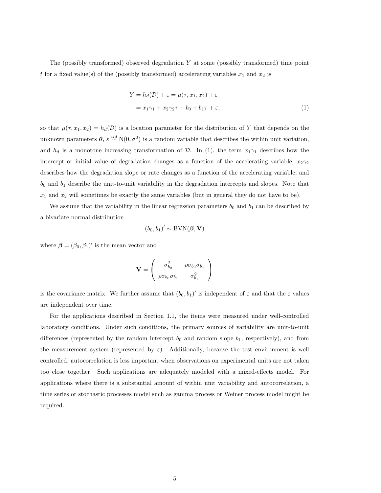The (possibly transformed) observed degradation  $Y$  at some (possibly transformed) time point t for a fixed value(s) of the (possibly transformed) accelerating variables  $x_1$  and  $x_2$  is

$$
Y = h_d(\mathcal{D}) + \varepsilon = \mu(\tau, x_1, x_2) + \varepsilon
$$
  
=  $x_1 \gamma_1 + x_2 \gamma_2 \tau + b_0 + b_1 \tau + \varepsilon,$  (1)

so that  $\mu(\tau, x_1, x_2) = h_d(\mathcal{D})$  is a location parameter for the distribution of Y that depends on the unknown parameters  $\theta$ ,  $\varepsilon \stackrel{iid}{\sim} N(0, \sigma^2)$  is a random variable that describes the within unit variation, and  $h_d$  is a monotone increasing transformation of  $\mathcal{D}$ . In (1), the term  $x_1\gamma_1$  describes how the intercept or initial value of degradation changes as a function of the accelerating variable,  $x_2\gamma_2$ describes how the degradation slope or rate changes as a function of the accelerating variable, and  $b_0$  and  $b_1$  describe the unit-to-unit variability in the degradation intercepts and slopes. Note that  $x_1$  and  $x_2$  will sometimes be exactly the same variables (but in general they do not have to be).

We assume that the variability in the linear regression parameters  $b_0$  and  $b_1$  can be described by a bivariate normal distribution

$$
(b_0, b_1)' \sim \text{BVN}(\beta, \mathbf{V})
$$

where  $\boldsymbol{\beta} = (\beta_0, \beta_1)'$  is the mean vector and

$$
\mathbf{V} = \begin{pmatrix} \sigma_{b_0}^2 & \rho \sigma_{b_0} \sigma_{b_1} \\ \rho \sigma_{b_0} \sigma_{b_1} & \sigma_{b_1}^2 \end{pmatrix}
$$

is the covariance matrix. We further assume that  $(b_0, b_1)'$  is independent of  $\varepsilon$  and that the  $\varepsilon$  values are independent over time.

For the applications described in Section 1.1, the items were measured under well-controlled laboratory conditions. Under such conditions, the primary sources of variability are unit-to-unit differences (represented by the random intercept  $b_0$  and random slope  $b_1$ , respectively), and from the measurement system (represented by  $\varepsilon$ ). Additionally, because the test environment is well controlled, autocorrelation is less important when observations on experimental units are not taken too close together. Such applications are adequately modeled with a mixed-effects model. For applications where there is a substantial amount of within unit variability and autocorrelation, a time series or stochastic processes model such as gamma process or Weiner process model might be required.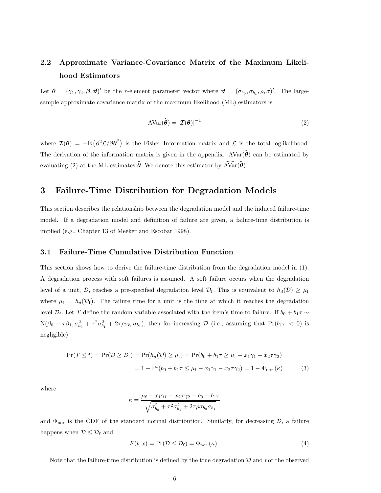# 2.2 Approximate Variance-Covariance Matrix of the Maximum Likelihood Estimators

Let  $\theta = (\gamma_1, \gamma_2, \beta, \vartheta)'$  be the *r*-element parameter vector where  $\vartheta = (\sigma_{b_0}, \sigma_{b_1}, \rho, \sigma)'$ . The largesample approximate covariance matrix of the maximum likelihood (ML) estimators is

$$
AVar(\hat{\boldsymbol{\theta}}) = [\mathcal{I}(\boldsymbol{\theta})]^{-1}
$$
 (2)

where  $\mathcal{I}(\theta) = -E \left( \frac{\partial^2 \mathcal{L}}{\partial \theta^2} \right)$  is the Fisher Information matrix and  $\mathcal{L}$  is the total loglikelihood. The derivation of the information matrix is given in the appendix.  $AVar(\hat{\theta})$  can be estimated by evaluating (2) at the ML estimates  $\hat{\theta}$ . We denote this estimator by  $\widehat{AVar}(\hat{\theta})$ .

## 3 Failure-Time Distribution for Degradation Models

This section describes the relationship between the degradation model and the induced failure-time model. If a degradation model and definition of failure are given, a failure-time distribution is implied (e.g., Chapter 13 of Meeker and Escobar 1998).

#### 3.1 Failure-Time Cumulative Distribution Function

This section shows how to derive the failure-time distribution from the degradation model in (1). A degradation process with soft failures is assumed. A soft failure occurs when the degradation level of a unit, D, reaches a pre-specified degradation level  $\mathcal{D}_{f}$ . This is equivalent to  $h_d(\mathcal{D}) \geq \mu_f$ where  $\mu_f = h_d(\mathcal{D}_f)$ . The failure time for a unit is the time at which it reaches the degradation level  $\mathcal{D}_f$ . Let T define the random variable associated with the item's time to failure. If  $b_0 + b_1 \tau \sim$  $N(\beta_0 + \tau \beta_1, \sigma_{b_0}^2 + \tau^2 \sigma_{b_1}^2 + 2\tau \rho \sigma_{b_0} \sigma_{b_1}),$  then for increasing  $\mathcal{D}$  (i.e., assuming that  $Pr(b_1 \tau < 0)$  is negligible)

$$
\Pr(T \le t) = \Pr(\mathcal{D} \ge \mathcal{D}_{f}) = \Pr(h_{d}(\mathcal{D}) \ge \mu_{f}) = \Pr(b_{0} + b_{1}\tau \ge \mu_{f} - x_{1}\gamma_{1} - x_{2}\tau\gamma_{2})
$$

$$
= 1 - \Pr(b_{0} + b_{1}\tau \le \mu_{f} - x_{1}\gamma_{1} - x_{2}\tau\gamma_{2}) = 1 - \Phi_{\text{nor}}(\kappa)
$$
(3)

where

$$
\kappa = \frac{\mu_{\rm f} - x_1 \gamma_1 - x_2 \tau \gamma_2 - b_0 - b_1 \tau}{\sqrt{\sigma_{b_0}^2 + \tau^2 \sigma_{b_1}^2 + 2 \tau \rho \sigma_{b_0} \sigma_{b_1}}}
$$

and  $\Phi_{\text{nor}}$  is the CDF of the standard normal distribution. Similarly, for decreasing  $\mathcal{D}$ , a failure happens when  $\mathcal{D} \leq \mathcal{D}_{\mathrm{f}}$  and

$$
F(t; x) = \Pr(\mathcal{D} \le \mathcal{D}_{\mathrm{f}}) = \Phi_{\mathrm{nor}}(\kappa). \tag{4}
$$

Note that the failure-time distribution is defined by the true degradation  $\mathcal D$  and not the observed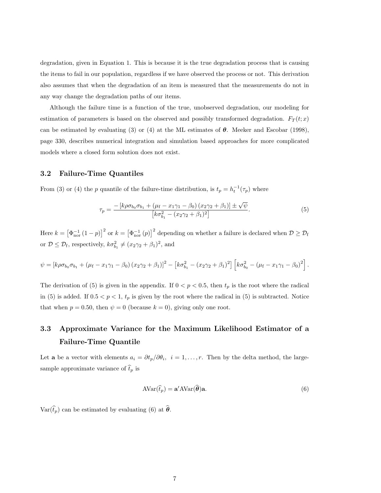degradation, given in Equation 1. This is because it is the true degradation process that is causing the items to fail in our population, regardless if we have observed the process or not. This derivation also assumes that when the degradation of an item is measured that the measurements do not in any way change the degradation paths of our items.

Although the failure time is a function of the true, unobserved degradation, our modeling for estimation of parameters is based on the observed and possibly transformed degradation.  $F_T(t; x)$ can be estimated by evaluating (3) or (4) at the ML estimates of  $\theta$ . Meeker and Escobar (1998), page 330, describes numerical integration and simulation based approaches for more complicated models where a closed form solution does not exist.

#### 3.2 Failure-Time Quantiles

From (3) or (4) the p quantile of the failure-time distribution, is  $t_p = h_t^{-1}(\tau_p)$  where

$$
\tau_p = \frac{-\left[k\rho\sigma_{b_0}\sigma_{b_1} + (\mu_f - x_1\gamma_1 - \beta_0)(x_2\gamma_2 + \beta_1)\right] \pm \sqrt{\psi}}{\left[k\sigma_{b_1}^2 - (x_2\gamma_2 + \beta_1)^2\right]}.
$$
\n(5)

Here  $k = \left[\Phi^{-1}_{\text{nor}}(1-p)\right]^2$  or  $k = \left[\Phi^{-1}_{\text{nor}}(p)\right]^2$  depending on whether a failure is declared when  $\mathcal{D} \geq \mathcal{D}_{\text{f}}$ or  $\mathcal{D} \leq \mathcal{D}_{\rm f}$ , respectively,  $k\sigma_{b_1}^2 \neq (x_2\gamma_2 + \beta_1)^2$ , and

$$
\psi = [k\rho\sigma_{b_0}\sigma_{b_1} + (\mu_f - x_1\gamma_1 - \beta_0)(x_2\gamma_2 + \beta_1)]^2 - [k\sigma_{b_1}^2 - (x_2\gamma_2 + \beta_1)^2] [k\sigma_{b_0}^2 - (\mu_f - x_1\gamma_1 - \beta_0)^2].
$$

The derivation of (5) is given in the appendix. If  $0 < p < 0.5$ , then  $t_p$  is the root where the radical in (5) is added. If  $0.5 < p < 1$ ,  $t_p$  is given by the root where the radical in (5) is subtracted. Notice that when  $p = 0.50$ , then  $\psi = 0$  (because  $k = 0$ ), giving only one root.

# 3.3 Approximate Variance for the Maximum Likelihood Estimator of a Failure-Time Quantile

Let **a** be a vector with elements  $a_i = \partial t_p / \partial \theta_i$ ,  $i = 1, ..., r$ . Then by the delta method, the largesample approximate variance of  $\hat{t}_p$  is

$$
AVar(\hat{t}_p) = \mathbf{a}' AVar(\hat{\boldsymbol{\theta}})\mathbf{a}.
$$
\n(6)

 $\text{Var}(\widehat{t}_p)$  can be estimated by evaluating (6) at  $\widehat{\boldsymbol{\theta}}$ .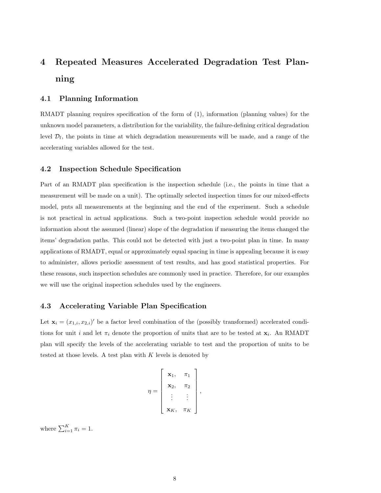# 4 Repeated Measures Accelerated Degradation Test Planning

#### 4.1 Planning Information

RMADT planning requires specification of the form of (1), information (planning values) for the unknown model parameters, a distribution for the variability, the failure-defining critical degradation level  $\mathcal{D}_f$ , the points in time at which degradation measurements will be made, and a range of the accelerating variables allowed for the test.

#### 4.2 Inspection Schedule Specification

Part of an RMADT plan specification is the inspection schedule (i.e., the points in time that a measurement will be made on a unit). The optimally selected inspection times for our mixed-effects model, puts all measurements at the beginning and the end of the experiment. Such a schedule is not practical in actual applications. Such a two-point inspection schedule would provide no information about the assumed (linear) slope of the degradation if measuring the items changed the items' degradation paths. This could not be detected with just a two-point plan in time. In many applications of RMADT, equal or approximately equal spacing in time is appealing because it is easy to administer, allows periodic assessment of test results, and has good statistical properties. For these reasons, such inspection schedules are commonly used in practice. Therefore, for our examples we will use the original inspection schedules used by the engineers.

## 4.3 Accelerating Variable Plan Specification

Let  $\mathbf{x}_i = (x_{1,i}, x_{2,i})'$  be a factor level combination of the (possibly transformed) accelerated conditions for unit i and let  $\pi_i$  denote the proportion of units that are to be tested at  $\mathbf{x}_i$ . An RMADT plan will specify the levels of the accelerating variable to test and the proportion of units to be tested at those levels. A test plan with  $K$  levels is denoted by

$$
\eta = \left[\begin{array}{ccc} \mathbf{x}_1, & \pi_1 \\ \mathbf{x}_2, & \pi_2 \\ \vdots & \vdots \\ \mathbf{x}_K, & \pi_K \end{array}\right],
$$

where  $\sum_{i=1}^{K} \pi_i = 1$ .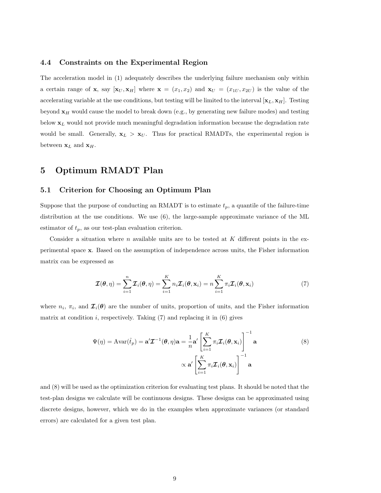#### 4.4 Constraints on the Experimental Region

The acceleration model in (1) adequately describes the underlying failure mechanism only within a certain range of **x**, say  $[\mathbf{x}_U, \mathbf{x}_H]$  where  $\mathbf{x} = (x_1, x_2)$  and  $\mathbf{x}_U = (x_{1U}, x_{2U})$  is the value of the accelerating variable at the use conditions, but testing will be limited to the interval  $[\mathbf{x}_L, \mathbf{x}_H]$ . Testing beyond  $x_H$  would cause the model to break down (e.g., by generating new failure modes) and testing below  $x_L$  would not provide much meaningful degradation information because the degradation rate would be small. Generally,  $x_L > x_U$ . Thus for practical RMADTs, the experimental region is between  $\mathbf{x}_L$  and  $\mathbf{x}_H$ .

## 5 Optimum RMADT Plan

#### 5.1 Criterion for Choosing an Optimum Plan

Suppose that the purpose of conducting an RMADT is to estimate  $t_p$ , a quantile of the failure-time distribution at the use conditions. We use (6), the large-sample approximate variance of the ML estimator of  $t_p$ , as our test-plan evaluation criterion.

Consider a situation where  $n$  available units are to be tested at  $K$  different points in the experimental space x. Based on the assumption of independence across units, the Fisher information matrix can be expressed as

$$
\mathcal{I}(\boldsymbol{\theta}, \eta) = \sum_{i=1}^{n} \mathcal{I}_{i}(\boldsymbol{\theta}, \eta) = \sum_{i=1}^{K} n_{i} \mathcal{I}_{i}(\boldsymbol{\theta}, \mathbf{x}_{i}) = n \sum_{i=1}^{K} \pi_{i} \mathcal{I}_{i}(\boldsymbol{\theta}, \mathbf{x}_{i})
$$
(7)

where  $n_i$ ,  $\pi_i$ , and  $\mathcal{I}_i(\theta)$  are the number of units, proportion of units, and the Fisher information matrix at condition  $i$ , respectively. Taking  $(7)$  and replacing it in  $(6)$  gives

$$
\Psi(\eta) = \text{Avar}(\hat{t}_p) = \mathbf{a}' \mathcal{I}^{-1}(\boldsymbol{\theta}, \eta) \mathbf{a} = \frac{1}{n} \mathbf{a}' \left[ \sum_{i=1}^{K} \pi_i \mathcal{I}_i(\boldsymbol{\theta}, \mathbf{x}_i) \right]^{-1} \mathbf{a}
$$
\n
$$
\propto \mathbf{a}' \left[ \sum_{i=1}^{K} \pi_i \mathcal{I}_i(\boldsymbol{\theta}, \mathbf{x}_i) \right]^{-1} \mathbf{a}
$$
\n(8)

and (8) will be used as the optimization criterion for evaluating test plans. It should be noted that the test-plan designs we calculate will be continuous designs. These designs can be approximated using discrete designs, however, which we do in the examples when approximate variances (or standard errors) are calculated for a given test plan.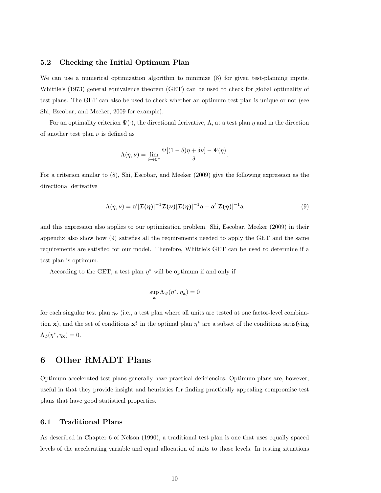#### 5.2 Checking the Initial Optimum Plan

We can use a numerical optimization algorithm to minimize  $(8)$  for given test-planning inputs. Whittle's (1973) general equivalence theorem (GET) can be used to check for global optimality of test plans. The GET can also be used to check whether an optimum test plan is unique or not (see Shi, Escobar, and Meeker, 2009 for example).

For an optimality criterion  $\Psi(\cdot)$ , the directional derivative,  $\Lambda$ , at a test plan  $\eta$  and in the direction of another test plan  $\nu$  is defined as

$$
\Lambda(\eta,\nu) = \lim_{\delta \to 0^+} \frac{\Psi[(1-\delta)\eta + \delta \nu] - \Psi(\eta)}{\delta}.
$$

For a criterion similar to (8), Shi, Escobar, and Meeker (2009) give the following expression as the directional derivative

$$
\Lambda(\eta,\nu) = \mathbf{a}'[\mathcal{I}(\eta)]^{-1}\mathcal{I}(\nu)[\mathcal{I}(\eta)]^{-1}\mathbf{a} - \mathbf{a}'[\mathcal{I}(\eta)]^{-1}\mathbf{a}
$$
\n(9)

and this expression also applies to our optimization problem. Shi, Escobar, Meeker (2009) in their appendix also show how (9) satisfies all the requirements needed to apply the GET and the same requirements are satisfied for our model. Therefore, Whittle's GET can be used to determine if a test plan is optimum.

According to the GET, a test plan  $\eta^*$  will be optimum if and only if

$$
\sup_{\mathbf{x}}\Lambda_\Psi(\eta^*,\eta_{\mathbf{x}})=0
$$

for each singular test plan  $\eta_x$  (i.e., a test plan where all units are tested at one factor-level combination **x**), and the set of conditions  $\mathbf{x}_i^*$  in the optimal plan  $\eta^*$  are a subset of the conditions satisfying  $\Lambda_{\phi}(\eta^*, \eta_{\mathbf{x}}) = 0.$ 

## 6 Other RMADT Plans

Optimum accelerated test plans generally have practical deficiencies. Optimum plans are, however, useful in that they provide insight and heuristics for finding practically appealing compromise test plans that have good statistical properties.

#### 6.1 Traditional Plans

As described in Chapter 6 of Nelson (1990), a traditional test plan is one that uses equally spaced levels of the accelerating variable and equal allocation of units to those levels. In testing situations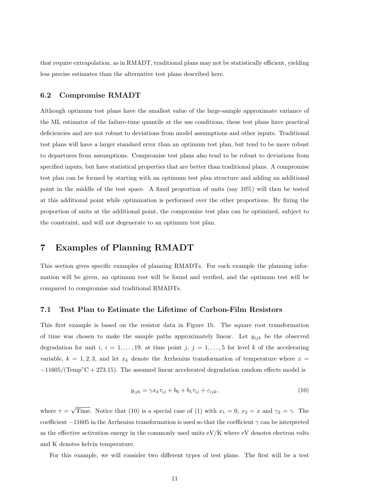that require extrapolation, as in RMADT, traditional plans may not be statistically efficient, yielding less precise estimates than the alternative test plans described here.

## 6.2 Compromise RMADT

Although optimum test plans have the smallest value of the large-sample approximate variance of the ML estimator of the failure-time quantile at the use conditions, these test plans have practical deficiencies and are not robust to deviations from model assumptions and other inputs. Traditional test plans will have a larger standard error than an optimum test plan, but tend to be more robust to departures from assumptions. Compromise test plans also tend to be robust to deviations from specified inputs, but have statistical properties that are better than traditional plans. A compromise test plan can be formed by starting with an optimum test plan structure and adding an additional point in the middle of the test space. A fixed proportion of units (say 10%) will then be tested at this additional point while optimization is performed over the other proportions. By fixing the proportion of units at the additional point, the compromise test plan can be optimized, subject to the constraint, and will not degenerate to an optimum test plan.

## 7 Examples of Planning RMADT

This section gives specific examples of planning RMADTs. For each example the planning information will be given, an optimum test will be found and verified, and the optimum test will be compared to compromise and traditional RMADTs.

#### 7.1 Test Plan to Estimate the Lifetime of Carbon-Film Resistors

This first example is based on the resistor data in Figure 1b. The square root transformation of time was chosen to make the sample paths approximately linear. Let  $y_{ijk}$  be the observed degradation for unit i,  $i = 1, \ldots, 19$ , at time point j,  $j = 1, \ldots, 5$  for level k of the accelerating variable,  $k = 1, 2, 3$ , and let  $x_k$  denote the Arrhenius transformation of temperature where  $x =$  $-11605/(\text{Temp}^{\circ}\text{C}+273.15)$ . The assumed linear accelerated degradation random effects model is

$$
y_{ijk} = \gamma x_k \tau_{ij} + b_0 + b_1 \tau_{ij} + \varepsilon_{ijk}, \qquad (10)
$$

where  $\tau =$ √ Time. Notice that (10) is a special case of (1) with  $x_1 = 0$ ,  $x_2 = x$  and  $\gamma_2 = \gamma$ . The coefficient  $-11605$  in the Arrhenius transformation is used so that the coefficient  $\gamma$  can be interpreted as the effective activation energy in the commonly used units eV/K where eV denotes electron volts and K denotes kelvin temperature.

For this example, we will consider two different types of test plans. The first will be a test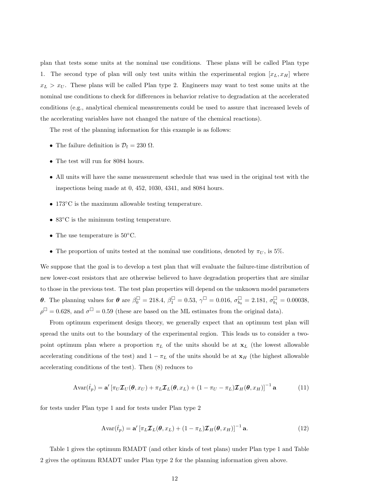plan that tests some units at the nominal use conditions. These plans will be called Plan type 1. The second type of plan will only test units within the experimental region  $[x_L, x_H]$  where  $x_L > x_U$ . These plans will be called Plan type 2. Engineers may want to test some units at the nominal use conditions to check for differences in behavior relative to degradation at the accelerated conditions (e.g., analytical chemical measurements could be used to assure that increased levels of the accelerating variables have not changed the nature of the chemical reactions).

The rest of the planning information for this example is as follows:

- The failure definition is  $\mathcal{D}_f = 230 \Omega$ .
- The test will run for 8084 hours.
- All units will have the same measurement schedule that was used in the original test with the inspections being made at 0, 452, 1030, 4341, and 8084 hours.
- 173◦C is the maximum allowable testing temperature.
- 83 $\degree$ C is the minimum testing temperature.
- The use temperature is  $50^{\circ}$ C.
- The proportion of units tested at the nominal use conditions, denoted by  $\pi_U$ , is 5%.

We suppose that the goal is to develop a test plan that will evaluate the failure-time distribution of new lower-cost resistors that are otherwise believed to have degradation properties that are similar to those in the previous test. The test plan properties will depend on the unknown model parameters **θ**. The planning values for **θ** are  $\beta_0^{\Box} = 218.4$ ,  $\beta_1^{\Box} = 0.53$ ,  $\gamma^{\Box} = 0.016$ ,  $\sigma_{b_0}^{\Box} = 2.181$ ,  $\sigma_{b_1}^{\Box} = 0.00038$ ,  $\rho^{\Box} = 0.628$ , and  $\sigma^{\Box} = 0.59$  (these are based on the ML estimates from the original data).

From optimum experiment design theory, we generally expect that an optimum test plan will spread the units out to the boundary of the experimental region. This leads us to consider a twopoint optimum plan where a proportion  $\pi_L$  of the units should be at  $\mathbf{x}_L$  (the lowest allowable accelerating conditions of the test) and  $1 - \pi_L$  of the units should be at  ${\bf x}_H$  (the highest allowable accelerating conditions of the test). Then (8) reduces to

$$
Avar(\hat{t}_p) = \mathbf{a}' \left[ \pi_U \mathcal{I}_U(\boldsymbol{\theta}, x_U) + \pi_L \mathcal{I}_L(\boldsymbol{\theta}, x_L) + (1 - \pi_U - \pi_L) \mathcal{I}_H(\boldsymbol{\theta}, x_H) \right]^{-1} \mathbf{a}
$$
(11)

for tests under Plan type 1 and for tests under Plan type 2

$$
Avar(\hat{t}_p) = \mathbf{a}' \left[ \pi_L \mathcal{I}_L(\boldsymbol{\theta}, x_L) + (1 - \pi_L) \mathcal{I}_H(\boldsymbol{\theta}, x_H) \right]^{-1} \mathbf{a}.
$$
 (12)

Table 1 gives the optimum RMADT (and other kinds of test plans) under Plan type 1 and Table 2 gives the optimum RMADT under Plan type 2 for the planning information given above.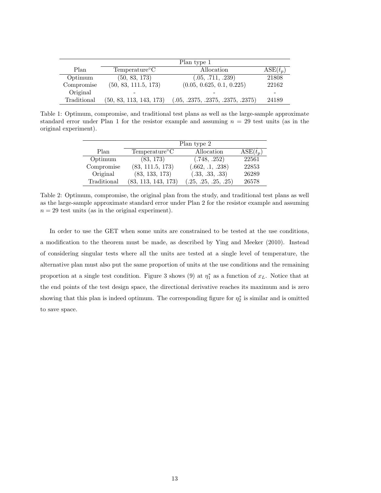|             | Plan type 1                |                                   |                   |
|-------------|----------------------------|-----------------------------------|-------------------|
| Plan        | Temperature <sup>o</sup> C | Allocation                        | $\text{ASE}(t_p)$ |
| Optimum     | (50, 83, 173)              | (.05, .711, .239)                 | 21808             |
| Compromise  | (50, 83, 111.5, 173)       | (0.05, 0.625, 0.1, 0.225)         | 22162             |
| Original    |                            |                                   |                   |
| Traditional | (50, 83, 113, 143, 173)    | (.05, .2375, .2375, .2375, .2375) | 24189             |

Table 1: Optimum, compromise, and traditional test plans as well as the large-sample approximate standard error under Plan 1 for the resistor example and assuming  $n = 29$  test units (as in the original experiment).

|             | Plan type 2                |                      |                         |  |
|-------------|----------------------------|----------------------|-------------------------|--|
| Plan        | Temperature <sup>o</sup> C | Allocation           | $\text{ASE}(\hat{t}_p)$ |  |
| Optimum     | (83, 173)                  | (.748, .252)         | 22561                   |  |
| Compromise  | (83, 111.5, 173)           | (.662, .1, .238)     | 22853                   |  |
| Original    | (83, 133, 173)             | (.33, .33, .33)      | 26289                   |  |
| Traditional | (83, 113, 143, 173)        | (.25, .25, .25, .25) | 26578                   |  |

Table 2: Optimum, compromise, the original plan from the study, and traditional test plans as well as the large-sample approximate standard error under Plan 2 for the resistor example and assuming  $n = 29$  test units (as in the original experiment).

In order to use the GET when some units are constrained to be tested at the use conditions, a modification to the theorem must be made, as described by Ying and Meeker (2010). Instead of considering singular tests where all the units are tested at a single level of temperature, the alternative plan must also put the same proportion of units at the use conditions and the remaining proportion at a single test condition. Figure 3 shows (9) at  $\eta_1^*$  as a function of  $x_L$ . Notice that at the end points of the test design space, the directional derivative reaches its maximum and is zero showing that this plan is indeed optimum. The corresponding figure for  $\eta_2^*$  is similar and is omitted to save space.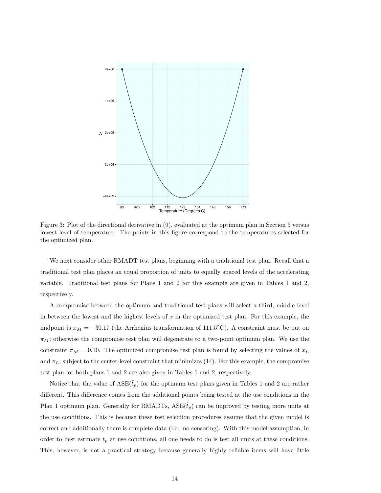

Figure 3: Plot of the directional derivative in (9), evaluated at the optimum plan in Section 5 versus lowest level of temperature. The points in this figure correspond to the temperatures selected for the optimized plan.

We next consider other RMADT test plans, beginning with a traditional test plan. Recall that a traditional test plan places an equal proportion of units to equally spaced levels of the accelerating variable. Traditional test plans for Plans 1 and 2 for this example are given in Tables 1 and 2, respectively.

A compromise between the optimum and traditional test plans will select a third, middle level in between the lowest and the highest levels of  $x$  in the optimized test plan. For this example, the midpoint is  $x_M = -30.17$  (the Arrhenius transformation of 111.5°C). A constraint must be put on  $\pi_M$ ; otherwise the compromise test plan will degenerate to a two-point optimum plan. We use the constraint  $\pi_M = 0.10$ . The optimized compromise test plan is found by selecting the values of  $x_L$ and  $\pi_L$ , subject to the center-level constraint that minimizes (14). For this example, the compromise test plan for both plans 1 and 2 are also given in Tables 1 and 2, respectively.

Notice that the value of  $\text{ASE}(\hat{t}_p)$  for the optimum test plans given in Tables 1 and 2 are rather different. This difference comes from the additional points being tested at the use conditions in the Plan 1 optimum plan. Generally for RMADTs,  $ASE(\hat{t}_p)$  can be improved by testing more units at the use conditions. This is because these test selection procedures assume that the given model is correct and additionally there is complete data (i.e., no censoring). With this model assumption, in order to best estimate  $t_p$  at use conditions, all one needs to do is test all units at these conditions. This, however, is not a practical strategy because generally highly reliable items will have little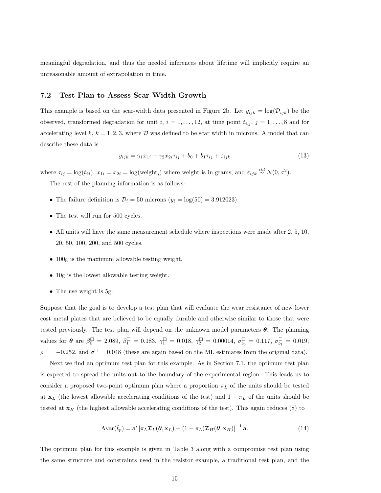meaningful degradation, and thus the needed inferences about lifetime will implicitly require an unreasonable amount of extrapolation in time.

## 7.2 Test Plan to Assess Scar Width Growth

This example is based on the scar-width data presented in Figure 2b. Let  $y_{ijk} = \log(D_{ijk})$  be the observed, transformed degradation for unit i,  $i = 1, \ldots, 12$ , at time point  $t_{i,j}$ ,  $j = 1, \ldots, 8$  and for accelerating level k,  $k = 1, 2, 3$ , where D was defined to be scar width in microns. A model that can describe these data is

$$
y_{ijk} = \gamma_1 x_{1i} + \gamma_2 x_{2i} \tau_{ij} + b_0 + b_1 \tau_{ij} + \varepsilon_{ijk} \tag{13}
$$

where  $\tau_{ij} = \log(t_{ij})$ ,  $x_{1i} = x_{2i} = \log(\text{weight}_i)$  where weight is in grams, and  $\varepsilon_{ijk} \stackrel{iid}{\sim} N(0, \sigma^2)$ .

The rest of the planning information is as follows:

- The failure definition is  $\mathcal{D}_f = 50$  microns  $(y_f = \log(50) = 3.912023)$ .
- The test will run for 500 cycles.
- All units will have the same measurement schedule where inspections were made after 2, 5, 10, 20, 50, 100, 200, and 500 cycles.
- 100g is the maximum allowable testing weight.
- 10g is the lowest allowable testing weight.
- The use weight is 5g.

Suppose that the goal is to develop a test plan that will evaluate the wear resistance of new lower cost metal plates that are believed to be equally durable and otherwise similar to those that were tested previously. The test plan will depend on the unknown model parameters  $\theta$ . The planning values for  $\theta$  are  $\beta_0^{\Box} = 2.089$ ,  $\beta_1^{\Box} = 0.183$ ,  $\gamma_1^{\Box} = 0.018$ ,  $\gamma_2^{\Box} = 0.00014$ ,  $\sigma_{b_0}^{\Box} = 0.117$ ,  $\sigma_{b_1}^{\Box} = 0.019$ ,  $\rho^{\Box} = -0.252$ , and  $\sigma^{\Box} = 0.048$  (these are again based on the ML estimates from the original data).

Next we find an optimum test plan for this example. As in Section 7.1, the optimum test plan is expected to spread the units out to the boundary of the experimental region. This leads us to consider a proposed two-point optimum plan where a proportion  $\pi_L$  of the units should be tested at  $x_L$  (the lowest allowable accelerating conditions of the test) and  $1 - \pi_L$  of the units should be tested at  $x_H$  (the highest allowable accelerating conditions of the test). This again reduces (8) to

$$
Avar(\hat{t}_p) = \mathbf{a}' \left[ \pi_L \mathcal{I}_L(\boldsymbol{\theta}, \mathbf{x}_L) + (1 - \pi_L) \mathcal{I}_H(\boldsymbol{\theta}, \mathbf{x}_H) \right]^{-1} \mathbf{a}.
$$
 (14)

The optimum plan for this example is given in Table 3 along with a compromise test plan using the same structure and constraints used in the resistor example, a traditional test plan, and the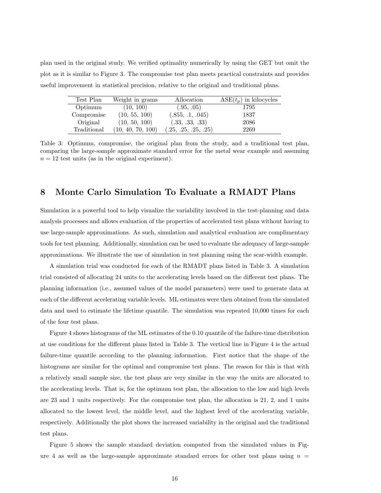plan used in the original study. We verified optimality numerically by using the GET but omit the plot as it is similar to Figure 3. The compromise test plan meets practical constraints and provides useful improvement in statistical precision, relative to the original and traditional plans.

| Test Plan   | Weight in grams   | Allocation           | $\text{ASE}(\hat{t}_p)$ in kilocycles |
|-------------|-------------------|----------------------|---------------------------------------|
| Optimum     | (10, 100)         | (.95, .05)           | 1795                                  |
| Compromise  | (10, 55, 100)     | (.855, .1, .045)     | 1837                                  |
| Original    | (10, 50, 100)     | (.33, .33, .33)      | 2086                                  |
| Traditional | (10, 40, 70, 100) | (.25, .25, .25, .25) | 2269                                  |

Table 3: Optimum, compromise, the original plan from the study, and a traditional test plan, comparing the large-sample approximate standard error for the metal wear example and assuming  $n = 12$  test units (as in the original experiment).

## 8 Monte Carlo Simulation To Evaluate a RMADT Plans

Simulation is a powerful tool to help visualize the variability involved in the test-planning and data analysis processes and allows evaluation of the properties of accelerated test plans without having to use large-sample approximations. As such, simulation and analytical evaluation are complimentary tools for test planning. Additionally, simulation can be used to evaluate the adequacy of large-sample approximations. We illustrate the use of simulation in test planning using the scar-width example.

A simulation trial was conducted for each of the RMADT plans listed in Table 3. A simulation trial consisted of allocating 24 units to the accelerating levels based on the different test plans. The planning information (i.e., assumed values of the model parameters) were used to generate data at each of the different accelerating variable levels. ML estimates were then obtained from the simulated data and used to estimate the lifetime quantile. The simulation was repeated 10,000 times for each of the four test plans.

Figure 4 shows histograms of the ML estimates of the 0.10 quantile of the failure-time distribution at use conditions for the different plans listed in Table 3. The vertical line in Figure 4 is the actual failure-time quantile according to the planning information. First notice that the shape of the histograms are similar for the optimal and compromise test plans. The reason for this is that with a relatively small sample size, the test plans are very similar in the way the units are allocated to the accelerating levels. That is, for the optimum test plan, the allocation to the low and high levels are 23 and 1 units respectively. For the compromise test plan, the allocation is 21, 2, and 1 units allocated to the lowest level, the middle level, and the highest level of the accelerating variable, respectively. Additionally the plot shows the increased variability in the original and the traditional test plans.

Figure 5 shows the sample standard deviation computed from the simulated values in Figure 4 as well as the large-sample approximate standard errors for other test plans using  $n =$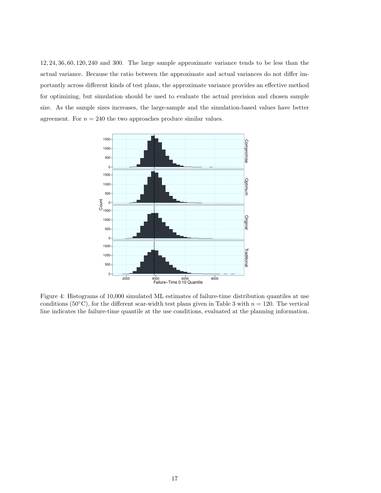12, 24, 36, 60, 120, 240 and 300. The large sample approximate variance tends to be less than the actual variance. Because the ratio between the approximate and actual variances do not differ importantly across different kinds of test plans, the approximate variance provides an effective method for optimizing, but simulation should be used to evaluate the actual precision and chosen sample size. As the sample sizes increases, the large-sample and the simulation-based values have better agreement. For  $n = 240$  the two approaches produce similar values.



Figure 4: Histograms of 10,000 simulated ML estimates of failure-time distribution quantiles at use conditions (50°C), for the different scar-width test plans given in Table 3 with  $n = 120$ . The vertical line indicates the failure-time quantile at the use conditions, evaluated at the planning information.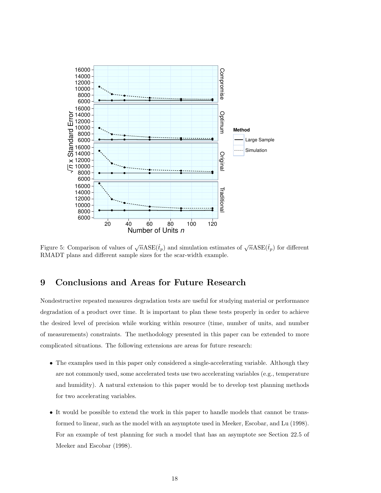

Figure 5: Comparison of values of  $\sqrt{n} \text{ASE}(\hat{t}_p)$  and simulation estimates of  $\sqrt{n} \text{ASE}(\hat{t}_p)$  for different RMADT plans and different sample sizes for the scar-width example.

## 9 Conclusions and Areas for Future Research

Nondestructive repeated measures degradation tests are useful for studying material or performance degradation of a product over time. It is important to plan these tests properly in order to achieve the desired level of precision while working within resource (time, number of units, and number of measurements) constraints. The methodology presented in this paper can be extended to more complicated situations. The following extensions are areas for future research:

- The examples used in this paper only considered a single-accelerating variable. Although they are not commonly used, some accelerated tests use two accelerating variables (e.g., temperature and humidity). A natural extension to this paper would be to develop test planning methods for two accelerating variables.
- It would be possible to extend the work in this paper to handle models that cannot be transformed to linear, such as the model with an asymptote used in Meeker, Escobar, and Lu (1998). For an example of test planning for such a model that has an asymptote see Section 22.5 of Meeker and Escobar (1998).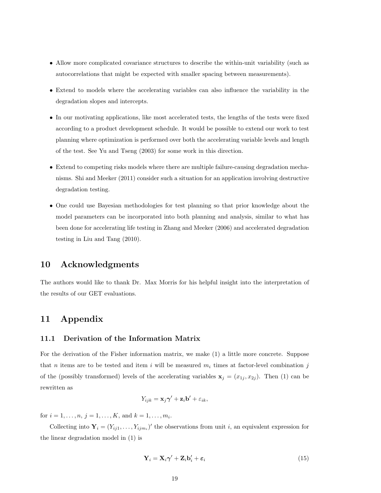- Allow more complicated covariance structures to describe the within-unit variability (such as autocorrelations that might be expected with smaller spacing between measurements).
- Extend to models where the accelerating variables can also influence the variability in the degradation slopes and intercepts.
- In our motivating applications, like most accelerated tests, the lengths of the tests were fixed according to a product development schedule. It would be possible to extend our work to test planning where optimization is performed over both the accelerating variable levels and length of the test. See Yu and Tseng (2003) for some work in this direction.
- Extend to competing risks models where there are multiple failure-causing degradation mechanisms. Shi and Meeker (2011) consider such a situation for an application involving destructive degradation testing.
- One could use Bayesian methodologies for test planning so that prior knowledge about the model parameters can be incorporated into both planning and analysis, similar to what has been done for accelerating life testing in Zhang and Meeker (2006) and accelerated degradation testing in Liu and Tang (2010).

## 10 Acknowledgments

The authors would like to thank Dr. Max Morris for his helpful insight into the interpretation of the results of our GET evaluations.

## 11 Appendix

#### 11.1 Derivation of the Information Matrix

For the derivation of the Fisher information matrix, we make (1) a little more concrete. Suppose that n items are to be tested and item i will be measured  $m_i$  times at factor-level combination j of the (possibly transformed) levels of the accelerating variables  $x_j = (x_{1j}, x_{2j})$ . Then (1) can be rewritten as

$$
Y_{ijk} = \mathbf{x}_j \boldsymbol{\gamma}' + \mathbf{z}_i \mathbf{b}' + \varepsilon_{ik},
$$

for  $i = 1, ..., n, j = 1, ..., K$ , and  $k = 1, ..., m_i$ .

Collecting into  $\mathbf{Y}_i = (Y_{ij1}, \dots, Y_{ijm_i})'$  the observations from unit i, an equivalent expression for the linear degradation model in (1) is

$$
\mathbf{Y}_{i} = \mathbf{X}_{i} \boldsymbol{\gamma}' + \mathbf{Z}_{i} \mathbf{b}'_{i} + \boldsymbol{\varepsilon}_{i}
$$
\n<sup>(15)</sup>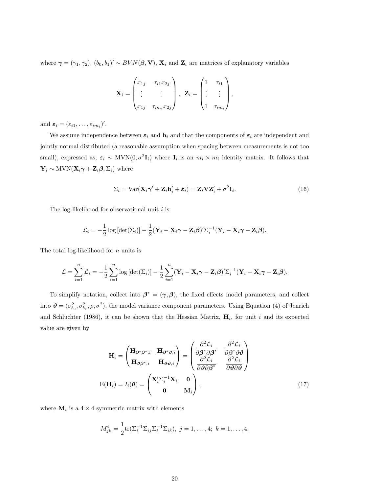where  $\gamma = (\gamma_1, \gamma_2), (b_0, b_1)' \sim BVN(\beta, V), X_i$  and  $Z_i$  are matrices of explanatory variables

$$
\mathbf{X}_{i} = \begin{pmatrix} x_{1j} & \tau_{i1} x_{2j} \\ \vdots & \vdots \\ x_{1j} & \tau_{im_i} x_{2j} \end{pmatrix}, \quad \mathbf{Z}_{i} = \begin{pmatrix} 1 & \tau_{i1} \\ \vdots & \vdots \\ 1 & \tau_{im_i} \end{pmatrix},
$$

and  $\varepsilon_i = (\varepsilon_{i1}, \ldots, \varepsilon_{im_i})'$ .

We assume independence between  $\varepsilon_i$  and  $\mathbf{b}_i$  and that the components of  $\varepsilon_i$  are independent and jointly normal distributed (a reasonable assumption when spacing between measurements is not too small), expressed as,  $\varepsilon_i \sim \text{MVN}(0, \sigma^2 \mathbf{I}_i)$  where  $\mathbf{I}_i$  is an  $m_i \times m_i$  identity matrix. It follows that  $\mathbf{Y}_i \sim \text{MVN}(\mathbf{X}_i \boldsymbol{\gamma} + \mathbf{Z}_i \boldsymbol{\beta}, \boldsymbol{\Sigma}_i)$  where

$$
\Sigma_i = \text{Var}(\mathbf{X}_i \boldsymbol{\gamma}' + \mathbf{Z}_i \mathbf{b}_i' + \boldsymbol{\varepsilon}_i) = \mathbf{Z}_i \mathbf{V} \mathbf{Z}_i' + \sigma^2 \mathbf{I}_i.
$$
\n(16)

The log-likelihood for observational unit  $i$  is

$$
\mathcal{L}_i = -\frac{1}{2}\log\left[\det(\Sigma_i)\right] - \frac{1}{2}(\mathbf{Y}_i - \mathbf{X}_i\boldsymbol{\gamma} - \mathbf{Z}_i\boldsymbol{\beta})'\Sigma_i^{-1}(\mathbf{Y}_i - \mathbf{X}_i\boldsymbol{\gamma} - \mathbf{Z}_i\boldsymbol{\beta}).
$$

The total log-likelihood for  $n$  units is

$$
\mathcal{L} = \sum_{i=1}^n \mathcal{L}_i = -\frac{1}{2} \sum_{i=1}^n \log \left[ \det(\Sigma_i) \right] - \frac{1}{2} \sum_{i=1}^n (\mathbf{Y}_i - \mathbf{X}_i \boldsymbol{\gamma} - \mathbf{Z}_i \boldsymbol{\beta})' \Sigma_i^{-1} (\mathbf{Y}_i - \mathbf{X}_i \boldsymbol{\gamma} - \mathbf{Z}_i \boldsymbol{\beta}).
$$

To simplify notation, collect into  $\beta^* = (\gamma, \beta)$ , the fixed effects model parameters, and collect into  $\mathbf{\hat{\theta}} = (\sigma_{b_0}^2, \sigma_{b_1}^2, \rho, \sigma^2)$ , the model variance component parameters. Using Equation (4) of Jenrich and Schluchter (1986), it can be shown that the Hessian Matrix,  $H_i$ , for unit i and its expected value are given by

$$
\mathbf{H}_{i} = \begin{pmatrix} \mathbf{H}_{\beta^{*}\beta^{*},i} & \mathbf{H}_{\beta^{*}\vartheta,i} \\ \mathbf{H}_{\vartheta\beta^{*},i} & \mathbf{H}_{\vartheta\vartheta,i} \end{pmatrix} = \begin{pmatrix} \frac{\partial^{2}\mathcal{L}_{i}}{\partial\beta^{*}\partial\beta^{*}} & \frac{\partial^{2}\mathcal{L}_{i}}{\partial\beta^{*}\partial\vartheta} \\ \frac{\partial^{2}\mathcal{L}_{i}}{\partial\vartheta\partial\beta^{*}} & \frac{\partial^{2}\mathcal{L}_{i}}{\partial\vartheta\partial\vartheta} \end{pmatrix}
$$

$$
\mathbf{E}(\mathbf{H}_{i}) = I_{i}(\boldsymbol{\theta}) = \begin{pmatrix} \mathbf{X}_{i}^{\prime}\Sigma_{i}^{-1}\mathbf{X}_{i} & \mathbf{0} \\ \mathbf{0} & \mathbf{M}_{i} \end{pmatrix}, \qquad (17)
$$

where  $\mathbf{M}_i$  is a  $4 \times 4$  symmetric matrix with elements

$$
M_{jk}^{i} = \frac{1}{2} \text{tr}(\Sigma_{i}^{-1} \Sigma_{ij} \Sigma_{i}^{-1} \Sigma_{ik}), \ j = 1, \dots, 4; \ k = 1, \dots, 4,
$$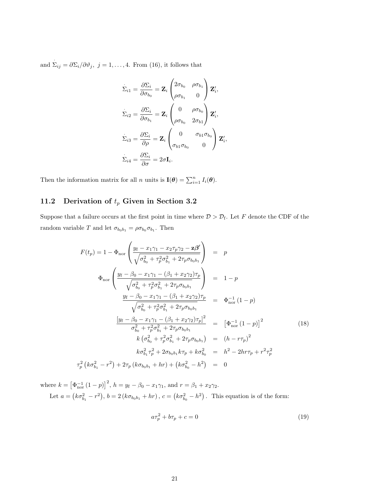and  $\Sigma_{ij} = \partial \Sigma_i / \partial \vartheta_j$ ,  $j = 1, ..., 4$ . From (16), it follows that

$$
\dot{\Sigma}_{i1} = \frac{\partial \Sigma_i}{\partial \sigma_{b_0}} = \mathbf{Z}_i \begin{pmatrix} 2\sigma_{b_0} & \rho \sigma_{b_1} \\ \rho \sigma_{b_1} & 0 \end{pmatrix} \mathbf{Z}'_i,
$$
\n
$$
\dot{\Sigma}_{i2} = \frac{\partial \Sigma_i}{\partial \sigma_{b_1}} = \mathbf{Z}_i \begin{pmatrix} 0 & \rho \sigma_{b_0} \\ \rho \sigma_{b_0} & 2\sigma_{b_1} \end{pmatrix} \mathbf{Z}'_i,
$$
\n
$$
\dot{\Sigma}_{i3} = \frac{\partial \Sigma_i}{\partial \rho} = \mathbf{Z}_i \begin{pmatrix} 0 & \sigma_{b_1} \sigma_{b_0} \\ \sigma_{b_1} \sigma_{b_0} & 0 \end{pmatrix} \mathbf{Z}'_i,
$$
\n
$$
\dot{\Sigma}_{i4} = \frac{\partial \Sigma_i}{\partial \sigma} = 2\sigma \mathbf{I}_i.
$$

Then the information matrix for all n units is  $\mathbf{I}(\boldsymbol{\theta}) = \sum_{i=1}^{n} I_i(\boldsymbol{\theta}).$ 

## 11.2 Derivation of  $t_p$  Given in Section 3.2

Suppose that a failure occurs at the first point in time where  $\mathcal{D} > \mathcal{D}_{f}$ . Let F denote the CDF of the random variable T and let  $\sigma_{b_0b_1} = \rho \sigma_{b_0} \sigma_{b_1}$ . Then

$$
F(t_p) = 1 - \Phi_{\text{nor}} \left( \frac{y_f - x_1 \gamma_1 - x_2 \tau_p \gamma_2 - \mathbf{z} \boldsymbol{\beta}'}{\sqrt{\sigma_{b_0}^2 + \tau_p^2 \sigma_{b_1}^2 + 2\tau_p \sigma_{b_0 b_1}}} \right) = p
$$
  
\n
$$
\Phi_{\text{nor}} \left( \frac{y_f - \beta_0 - x_1 \gamma_1 - (\beta_1 + x_2 \gamma_2) \tau_p}{\sqrt{\sigma_{b_0}^2 + \tau_p^2 \sigma_{b_1}^2 + 2\tau_p \sigma_{b_0 b_1}}} \right) = 1 - p
$$
  
\n
$$
\frac{y_f - \beta_0 - x_1 \gamma_1 - (\beta_1 + x_2 \gamma_2) \tau_p}{\sqrt{\sigma_{b_0}^2 + \tau_p^2 \sigma_{b_1}^2 + 2\tau_p \sigma_{b_0 b_1}}} = \Phi_{\text{nor}}^{-1} (1 - p)
$$
  
\n
$$
\frac{[y_f - \beta_0 - x_1 \gamma_1 - (\beta_1 + x_2 \gamma_2) \tau_p]^2}{\sigma_{b_0}^2 + \tau_p^2 \sigma_{b_1}^2 + 2\tau_p \sigma_{b_0 b_1}} = \left[ \Phi_{\text{nor}}^{-1} (1 - p) \right]^2
$$
  
\n
$$
k (\sigma_{b_0}^2 + \tau_p^2 \sigma_{b_1}^2 + 2\tau_p \sigma_{b_0 b_1}) = (h - r \tau_p)^2
$$
  
\n
$$
k \sigma_{b_1}^2 \tau_p^2 + 2\sigma_{b_0 b_1} k \tau_p + k \sigma_{b_0}^2 = h^2 - 2hr \tau_p + r^2 \tau_p^2
$$
  
\n
$$
\tau_p^2 (k \sigma_{b_1}^2 - r^2) + 2\tau_p (k \sigma_{b_0 b_1} + hr) + (k \sigma_{b_0}^2 - h^2) = 0
$$

where  $k = \left[\Phi_{\text{nor}}^{-1} (1-p)\right]^2$ ,  $h = y_f - \beta_0 - x_1 \gamma_1$ , and  $r = \beta_1 + x_2 \gamma_2$ . Let  $a = (k\sigma_{b_1}^2 - r^2), b = 2(k\sigma_{b_0b_1} + hr), c = (k\sigma_{b_0}^2 - h^2)$ . This equation is of the form:

$$
a\tau_p^2 + b\tau_p + c = 0\tag{19}
$$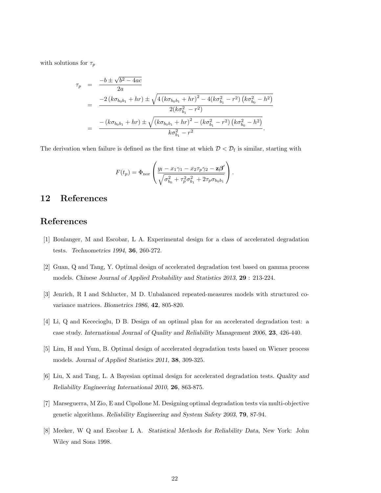with solutions for  $\tau_p$ 

$$
\tau_p = \frac{-b \pm \sqrt{b^2 - 4ac}}{2a}
$$
\n
$$
= \frac{-2 (k\sigma_{b_0b_1} + hr) \pm \sqrt{4 (k\sigma_{b_0b_1} + hr)^2 - 4(k\sigma_{b_1}^2 - r^2) (k\sigma_{b_0}^2 - h^2)}}
$$
\n
$$
= \frac{-(k\sigma_{b_0b_1} + hr) \pm \sqrt{(k\sigma_{b_0b_1} + hr)^2 - (k\sigma_{b_1}^2 - r^2) (k\sigma_{b_0}^2 - h^2)}}{k\sigma_{b_1}^2 - r^2}.
$$

The derivation when failure is defined as the first time at which  $\mathcal{D} < \mathcal{D}_{f}$  is similar, starting with

$$
F(t_p) = \Phi_{\text{nor}} \left( \frac{y_f - x_1 \gamma_1 - x_2 \tau_p \gamma_2 - \mathbf{z} \beta'}{\sqrt{\sigma_{b_0}^2 + \tau_p^2 \sigma_{b_1}^2 + 2 \tau_p \sigma_{b_0 b_1}}} \right).
$$

## 12 References

## References

- [1] Boulanger, M and Escobar, L A. Experimental design for a class of accelerated degradation tests. Technometrics 1994, 36, 260-272.
- [2] Guan, Q and Tang, Y. Optimal design of accelerated degradation test based on gamma process models. Chinese Journal of Applied Probability and Statistics 2013, 29 : 213-224.
- [3] Jenrich, R I and Schlucter, M D. Unbalanced repeated-measures models with structured covariance matrices. Biometrics 1986, 42, 805-820.
- [4] Li, Q and Kececioglu, D B. Design of an optimal plan for an accelerated degradation test: a case study. International Journal of Quality and Reliability Management 2006, 23, 426-440.
- [5] Lim, H and Yum, B. Optimal design of accelerated degradation tests based on Wiener process models. Journal of Applied Statistics 2011, 38, 309-325.
- [6] Liu, X and Tang, L. A Bayesian optimal design for accelerated degradation tests. Quality and Reliability Engineering International 2010, 26, 863-875.
- [7] Marseguerra, M Zio, E and Cipollone M. Designing optimal degradation tests via multi-objective genetic algorithms. Reliability Engineering and System Safety 2003, 79, 87-94.
- [8] Meeker, W Q and Escobar L A. Statistical Methods for Reliability Data, New York: John Wiley and Sons 1998.